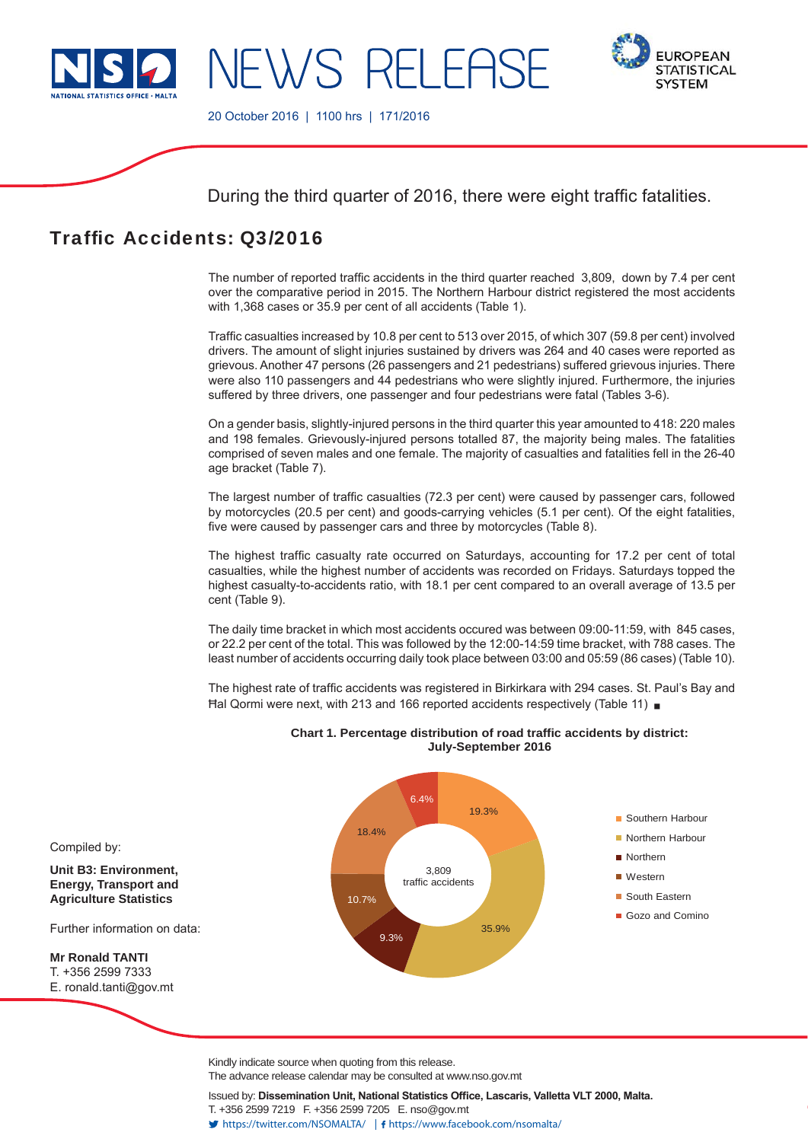

NEWS RELEAS



20 October 2016 | 1100 hrs | 171/2016

During the third quarter of 2016, there were eight traffic fatalities.

# Traffic Accidents: Q3/2016

The number of reported traffic accidents in the third quarter reached 3,809, down by 7.4 per cent over the comparative period in 2015. The Northern Harbour district registered the most accidents with 1,368 cases or 35.9 per cent of all accidents (Table 1).

Traffic casualties increased by 10.8 per cent to 513 over 2015, of which 307 (59.8 per cent) involved drivers. The amount of slight injuries sustained by drivers was 264 and 40 cases were reported as grievous. Another 47 persons (26 passengers and 21 pedestrians) suffered grievous injuries. There were also 110 passengers and 44 pedestrians who were slightly injured. Furthermore, the injuries suffered by three drivers, one passenger and four pedestrians were fatal (Tables 3-6).

On a gender basis, slightly-injured persons in the third quarter this year amounted to 418: 220 males and 198 females. Grievously-injured persons totalled 87, the majority being males. The fatalities comprised of seven males and one female. The majority of casualties and fatalities fell in the 26-40 age bracket (Table 7).

The largest number of traffic casualties (72.3 per cent) were caused by passenger cars, followed by motorcycles (20.5 per cent) and goods-carrying vehicles (5.1 per cent). Of the eight fatalities, five were caused by passenger cars and three by motorcycles (Table 8).

The highest traffic casualty rate occurred on Saturdays, accounting for 17.2 per cent of total casualties, while the highest number of accidents was recorded on Fridays. Saturdays topped the highest casualty-to-accidents ratio, with 18.1 per cent compared to an overall average of 13.5 per cent (Table 9).

The daily time bracket in which most accidents occured was between 09:00-11:59, with 845 cases, or 22.2 per cent of the total. This was followed by the 12:00-14:59 time bracket, with 788 cases. The least number of accidents occurring daily took place between 03:00 and 05:59 (86 cases) (Table 10).

The highest rate of traffic accidents was registered in Birkirkara with 294 cases. St. Paul's Bay and Ħal Qormi were next, with 213 and 166 reported accidents respectively (Table 11)



**Chart 1. Percentage distribution of road traffic accidents by district: July-September 2016**

Kindly indicate source when quoting from this release.

The advance release calendar may be consulted at www.nso.gov.mt

Issued by: Dissemination Unit, National Statistics Office, Lascaris, Valletta VLT 2000, Malta. T. +356 2599 7219 F. +356 2599 7205 E. nso@gov.mt

https://twitter.com/NSOMALTA/ https://www.facebook.com/nsomalta/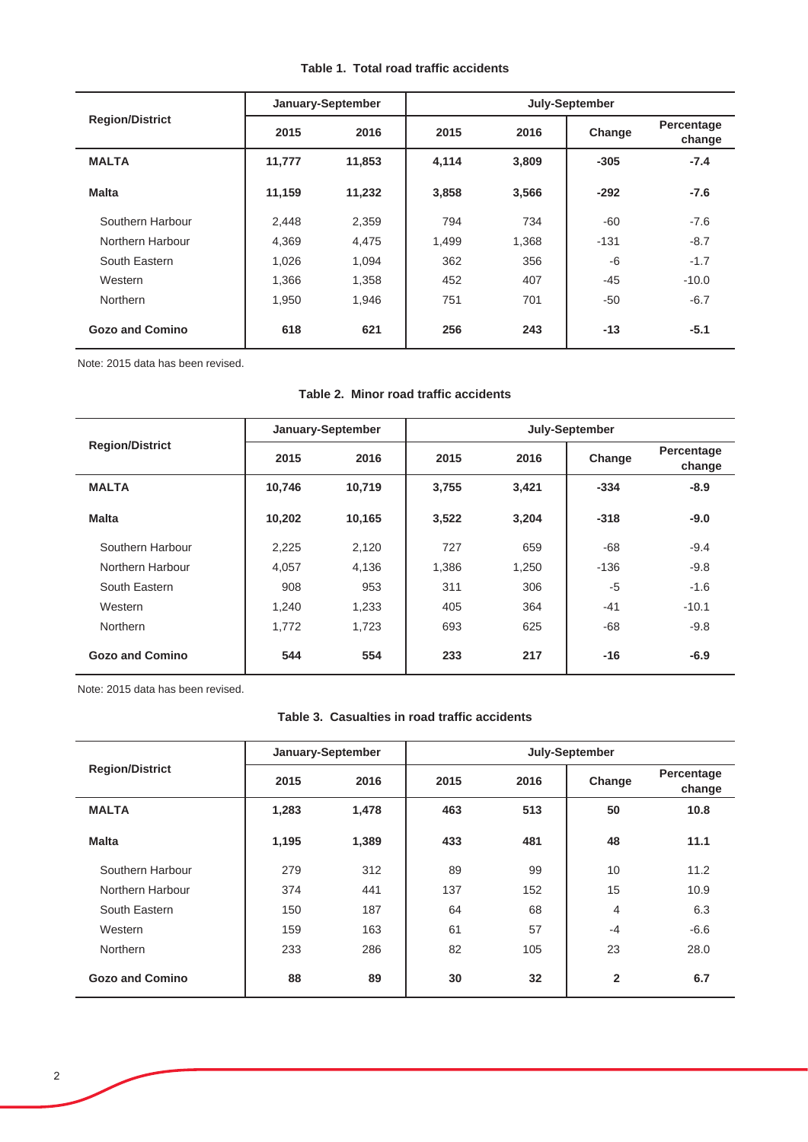|  |  | Table 1. Total road traffic accidents |
|--|--|---------------------------------------|
|  |  |                                       |

|                        |              | January-September |       | July-September |        |                      |  |  |  |
|------------------------|--------------|-------------------|-------|----------------|--------|----------------------|--|--|--|
| <b>Region/District</b> | 2016<br>2015 |                   | 2015  | 2016           | Change | Percentage<br>change |  |  |  |
| <b>MALTA</b>           | 11,777       | 11,853            | 4,114 | 3,809          | $-305$ | $-7.4$               |  |  |  |
| <b>Malta</b>           | 11,159       | 11,232            | 3,858 | 3,566          | $-292$ | $-7.6$               |  |  |  |
| Southern Harbour       | 2,448        | 2,359             | 794   | 734            | $-60$  | $-7.6$               |  |  |  |
| Northern Harbour       | 4,369        | 4,475             | 1,499 | 1,368          | $-131$ | $-8.7$               |  |  |  |
| South Eastern          | 1,026        | 1,094             | 362   | 356            | $-6$   | $-1.7$               |  |  |  |
| Western                | 1,366        | 1,358             | 452   | 407            | $-45$  | $-10.0$              |  |  |  |
| Northern               | 1,950        | 1,946             | 751   | 701            | -50    | $-6.7$               |  |  |  |
| <b>Gozo and Comino</b> | 618          | 621               | 256   | 243            | $-13$  | $-5.1$               |  |  |  |

Note: 2015 data has been revised.

# **Table 2. Minor road traffic accidents**

|                        |              | January-September | July-September |       |        |                      |  |  |
|------------------------|--------------|-------------------|----------------|-------|--------|----------------------|--|--|
| <b>Region/District</b> | 2015<br>2016 |                   | 2015           | 2016  |        | Percentage<br>change |  |  |
| <b>MALTA</b>           | 10,746       | 10,719            | 3,755          | 3,421 | $-334$ | $-8.9$               |  |  |
| <b>Malta</b>           | 10,202       | 10,165            | 3,522          | 3,204 | $-318$ | $-9.0$               |  |  |
| Southern Harbour       | 2,225        | 2,120             | 727            | 659   | $-68$  | $-9.4$               |  |  |
| Northern Harbour       | 4.057        | 4,136             | 1,386          | 1,250 | $-136$ | $-9.8$               |  |  |
| South Eastern          | 908          | 953               | 311            | 306   | $-5$   | $-1.6$               |  |  |
| Western                | 1,240        | 1,233             | 405            | 364   | $-41$  | $-10.1$              |  |  |
| Northern               | 1,772        | 1,723             | 693            | 625   | $-68$  | $-9.8$               |  |  |
| <b>Gozo and Comino</b> | 544          | 554               | 233            | 217   | $-16$  | $-6.9$               |  |  |

Note: 2015 data has been revised.

### **Table 3. Casualties in road traffic accidents**

|                        |       | January-September | July-September |      |                |                      |  |  |
|------------------------|-------|-------------------|----------------|------|----------------|----------------------|--|--|
| <b>Region/District</b> | 2015  | 2016              | 2015           | 2016 | Change         | Percentage<br>change |  |  |
| <b>MALTA</b>           | 1,283 | 1,478             | 463            | 513  | 50             | 10.8                 |  |  |
| <b>Malta</b>           | 1,195 | 1,389             | 433            | 481  | 48             | 11.1                 |  |  |
| Southern Harbour       | 279   | 312               | 89             | 99   | 10             | 11.2                 |  |  |
| Northern Harbour       | 374   | 441               | 137            | 152  | 15             | 10.9                 |  |  |
| South Eastern          | 150   | 187               | 64             | 68   | 4              | 6.3                  |  |  |
| Western                | 159   | 163               | 61             | 57   | $-4$           | $-6.6$               |  |  |
| <b>Northern</b>        | 233   | 286               | 82             | 105  | 23             | 28.0                 |  |  |
| <b>Gozo and Comino</b> | 88    | 89                | 30             | 32   | $\overline{2}$ | 6.7                  |  |  |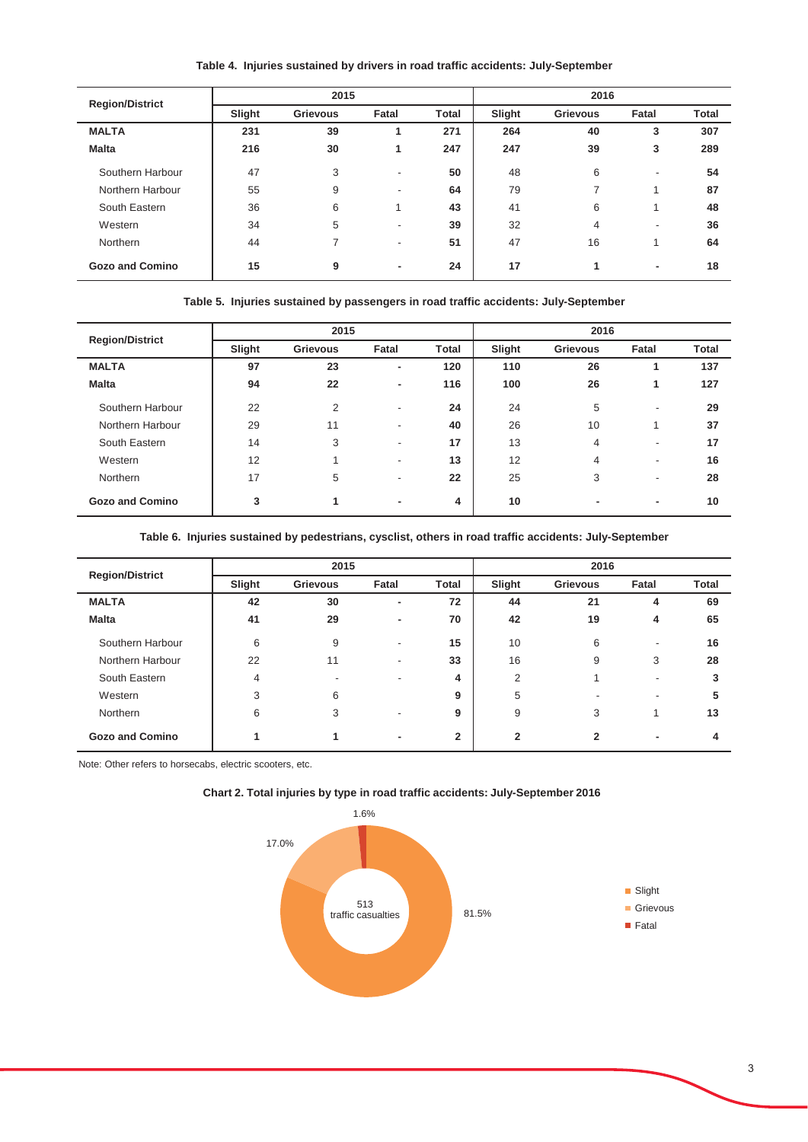**Table 4. Injuries sustained by drivers in road traffic accidents: July-September**

| <b>Region/District</b> |        | 2015            |                            |              | 2016   |                 |                          |              |
|------------------------|--------|-----------------|----------------------------|--------------|--------|-----------------|--------------------------|--------------|
|                        | Slight | <b>Grievous</b> | Fatal                      | <b>Total</b> | Slight | <b>Grievous</b> | Fatal                    | <b>Total</b> |
| <b>MALTA</b>           | 231    | 39              | 1                          | 271          | 264    | 40              | 3                        | 307          |
| <b>Malta</b>           | 216    | 30              | 1                          | 247          | 247    | 39              | 3                        | 289          |
| Southern Harbour       | 47     | 3               | ۰                          | 50           | 48     | 6               | $\overline{\phantom{a}}$ | 54           |
| Northern Harbour       | 55     | 9               | -                          | 64           | 79     | 7               |                          | 87           |
| South Eastern          | 36     | 6               | $\boldsymbol{\mathcal{A}}$ | 43           | 41     | 6               | и                        | 48           |
| Western                | 34     | 5               | ۰                          | 39           | 32     | 4               | $\overline{\phantom{a}}$ | 36           |
| Northern               | 44     | 7               | ٠                          | 51           | 47     | 16              |                          | 64           |
| <b>Gozo and Comino</b> | 15     | 9               | ۰                          | 24           | 17     |                 | ۰                        | 18           |

|  |  |  |  |  |  |  | Table 5. Injuries sustained by passengers in road traffic accidents: July-September |
|--|--|--|--|--|--|--|-------------------------------------------------------------------------------------|
|--|--|--|--|--|--|--|-------------------------------------------------------------------------------------|

| <b>Region/District</b> |        | 2015     |                          |              |        | 2016            |                          |              |
|------------------------|--------|----------|--------------------------|--------------|--------|-----------------|--------------------------|--------------|
|                        | Slight | Grievous | Fatal                    | <b>Total</b> | Slight | <b>Grievous</b> | Fatal                    | <b>Total</b> |
| <b>MALTA</b>           | 97     | 23       | ٠                        | 120          | 110    | 26              |                          | 137          |
| <b>Malta</b>           | 94     | 22       | ٠                        | 116          | 100    | 26              | 1                        | 127          |
| Southern Harbour       | 22     | 2        | $\overline{\phantom{0}}$ | 24           | 24     | 5               | $\overline{\phantom{a}}$ | 29           |
| Northern Harbour       | 29     | 11       | $\overline{\phantom{0}}$ | 40           | 26     | 10              |                          | 37           |
| South Eastern          | 14     | 3        | ٠                        | 17           | 13     | 4               | $\overline{\phantom{a}}$ | 17           |
| Western                | 12     |          | $\overline{\phantom{0}}$ | 13           | 12     | 4               | $\overline{\phantom{a}}$ | 16           |
| Northern               | 17     | 5        | ۰                        | 22           | 25     | 3               | $\overline{\phantom{a}}$ | 28           |
| <b>Gozo and Comino</b> | 3      |          | ٠                        | 4            | 10     | $\blacksquare$  | ۰                        | 10           |

**Table 6. Injuries sustained by pedestrians, cysclist, others in road traffic accidents: July-September**

| <b>Region/District</b> |        | 2015            |                          |                |              | 2016            |                          |              |  |
|------------------------|--------|-----------------|--------------------------|----------------|--------------|-----------------|--------------------------|--------------|--|
|                        | Slight | <b>Grievous</b> | Fatal                    | <b>Total</b>   | Slight       | <b>Grievous</b> | Fatal                    | <b>Total</b> |  |
| <b>MALTA</b>           | 42     | 30              | ۰.                       | 72             | 44           | 21              | 4                        | 69           |  |
| <b>Malta</b>           | 41     | 29              | ۰                        | 70             | 42           | 19              | 4                        | 65           |  |
| Southern Harbour       | 6      | 9               | $\overline{\phantom{0}}$ | 15             | 10           | 6               | ٠                        | 16           |  |
| Northern Harbour       | 22     | 11              | $\overline{\phantom{a}}$ | 33             | 16           | 9               | 3                        | 28           |  |
| South Eastern          | 4      |                 | ۰                        | 4              | 2            |                 | ۰                        | 3            |  |
| Western                | 3      | 6               |                          | 9              | 5            |                 | $\overline{\phantom{a}}$ | 5            |  |
| Northern               | 6      | 3               | ٠                        | 9              | 9            | 3               |                          | 13           |  |
| <b>Gozo and Comino</b> |        |                 | $\blacksquare$           | $\overline{2}$ | $\mathbf{2}$ | $\mathbf{2}$    | $\overline{\phantom{a}}$ |              |  |

Note: Other refers to horsecabs, electric scooters, etc.



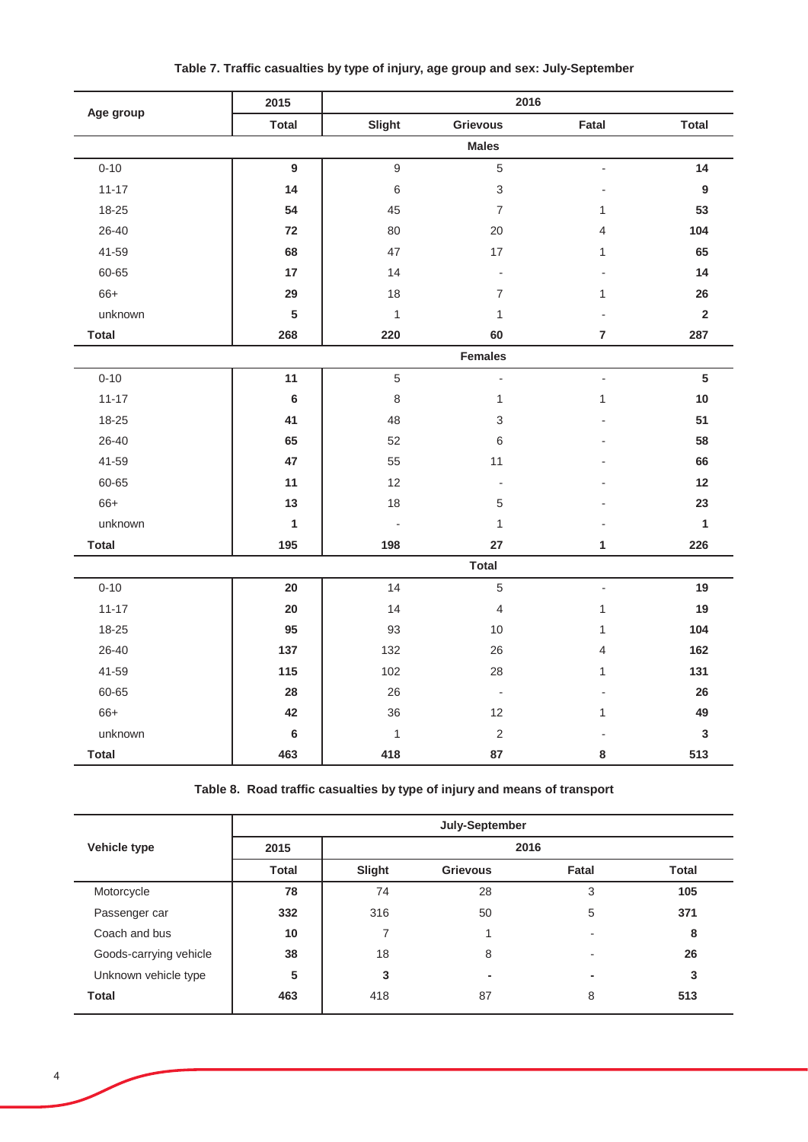|              | 2015           |                          | 2016                      |                          |                  |
|--------------|----------------|--------------------------|---------------------------|--------------------------|------------------|
| Age group    | <b>Total</b>   | Slight                   | <b>Grievous</b>           | Fatal                    | <b>Total</b>     |
|              |                |                          | <b>Males</b>              |                          |                  |
| $0 - 10$     | $\overline{9}$ | $\overline{9}$           | 5                         |                          | 14               |
| $11 - 17$    | 14             | $\,6\,$                  | $\ensuremath{\mathsf{3}}$ |                          | $\boldsymbol{9}$ |
| 18-25        | 54             | 45                       | $\overline{7}$            | 1                        | 53               |
| 26-40        | 72             | 80                       | 20                        | 4                        | 104              |
| 41-59        | 68             | 47                       | 17                        | 1                        | 65               |
| 60-65        | 17             | 14                       | $\blacksquare$            |                          | 14               |
| 66+          | 29             | 18                       | $\overline{7}$            | 1                        | 26               |
| unknown      | ${\bf 5}$      | $\mathbf{1}$             | $\mathbf{1}$              |                          | $\mathbf 2$      |
| <b>Total</b> | 268            | 220                      | 60                        | $\overline{7}$           | 287              |
|              |                |                          | <b>Females</b>            |                          |                  |
| $0 - 10$     | 11             | 5                        | $\overline{\phantom{a}}$  | $\blacksquare$           | $5\phantom{a}$   |
| $11 - 17$    | $\bf 6$        | $\,8\,$                  | $\mathbf{1}$              | $\mathbf{1}$             | 10               |
| 18-25        | 41             | 48                       | $\,$ 3 $\,$               |                          | 51               |
| 26-40        | 65             | 52                       | 6                         |                          | 58               |
| 41-59        | 47             | 55                       | 11                        |                          | 66               |
| 60-65        | 11             | 12                       | $\overline{\phantom{a}}$  |                          | 12               |
| 66+          | 13             | 18                       | 5                         |                          | 23               |
| unknown      | $\mathbf{1}$   | $\overline{\phantom{a}}$ | $\mathbf{1}$              |                          | 1                |
| <b>Total</b> | 195            | 198                      | 27                        | 1                        | 226              |
|              |                |                          | <b>Total</b>              |                          |                  |
| $0 - 10$     | 20             | 14                       | 5                         | $\overline{\phantom{a}}$ | 19               |
| $11 - 17$    | 20             | 14                       | $\overline{4}$            | $\mathbf{1}$             | 19               |
| 18-25        | 95             | 93                       | 10                        | 1                        | 104              |
| 26-40        | 137            | 132                      | 26                        | 4                        | 162              |
| 41-59        | 115            | 102                      | 28                        | 1                        | 131              |
| 60-65        | 28             | 26                       | $\overline{\phantom{a}}$  |                          | 26               |
| 66+          | 42             | 36                       | 12                        | $\mathbf{1}$             | 49               |
| unknown      | $\bf 6$        | $\mathbf{1}$             | $\sqrt{2}$                |                          | $\mathbf 3$      |
| <b>Total</b> | 463            | 418                      | 87                        | 8                        | 513              |

## **Table 7. Traffic casualties by type of injury, age group and sex: July-September**

**Table 8. Road traffic casualties by type of injury and means of transport**

|                        | July-September |        |                 |       |              |  |  |  |  |
|------------------------|----------------|--------|-----------------|-------|--------------|--|--|--|--|
| Vehicle type           | 2015           |        | 2016            |       |              |  |  |  |  |
|                        | <b>Total</b>   | Slight | <b>Grievous</b> | Fatal | <b>Total</b> |  |  |  |  |
| Motorcycle             | 78             | 74     | 28              | 3     | 105          |  |  |  |  |
| Passenger car          | 332            | 316    | 50              | 5     | 371          |  |  |  |  |
| Coach and bus          | 10             |        |                 |       | 8            |  |  |  |  |
| Goods-carrying vehicle | 38             | 18     | 8               |       | 26           |  |  |  |  |
| Unknown vehicle type   | 5              | 3      | ۰               | ۰.    | 3            |  |  |  |  |
| <b>Total</b>           | 463            | 418    | 87              | 8     | 513          |  |  |  |  |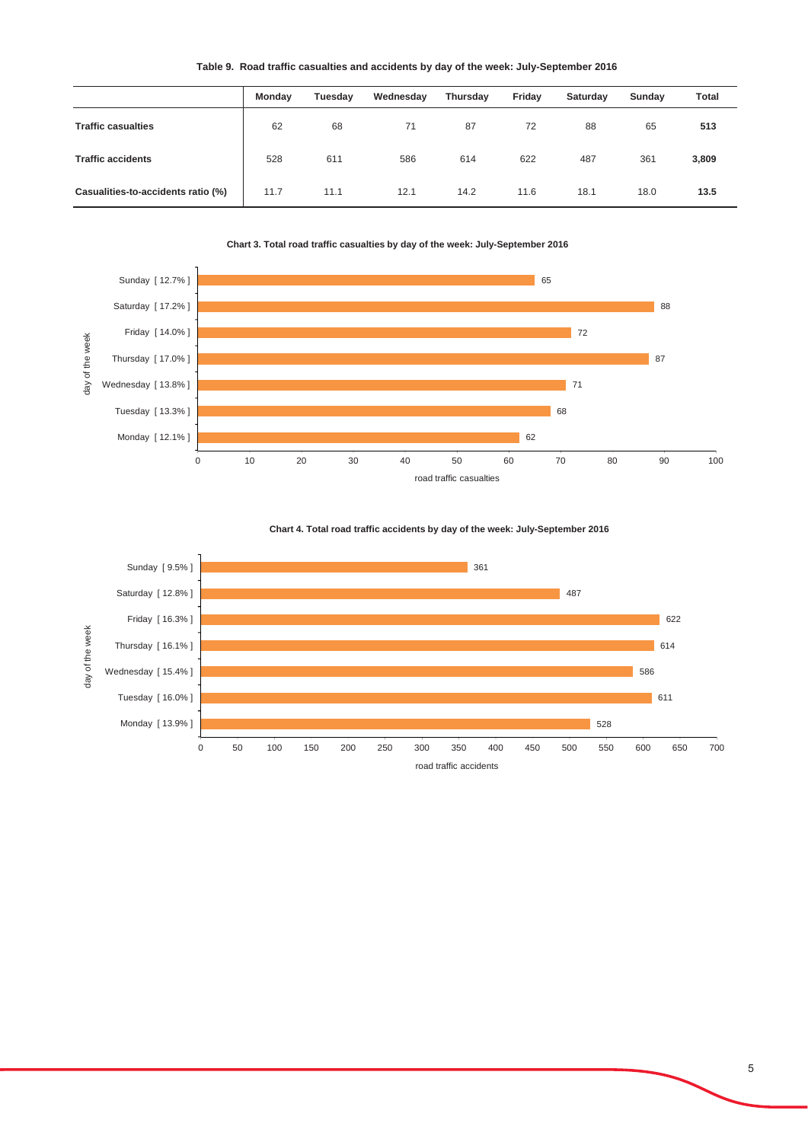#### **Table 9. Road traffic casualties and accidents by day of the week: July-September 2016**

|                                    | Monday | Tuesday | Wednesday | Thursday | Friday | Saturday | Sunday | Total |
|------------------------------------|--------|---------|-----------|----------|--------|----------|--------|-------|
| <b>Traffic casualties</b>          | 62     | 68      | 71        | 87       | 72     | 88       | 65     | 513   |
| <b>Traffic accidents</b>           | 528    | 611     | 586       | 614      | 622    | 487      | 361    | 3,809 |
| Casualities-to-accidents ratio (%) | 11.7   | 11.1    | 12.1      | 14.2     | 11.6   | 18.1     | 18.0   | 13.5  |

**Chart 3. Total road traffic casualties by day of the week: July-September 2016**



#### **Chart 4. Total road traffic accidents by day of the week: July-September 2016**

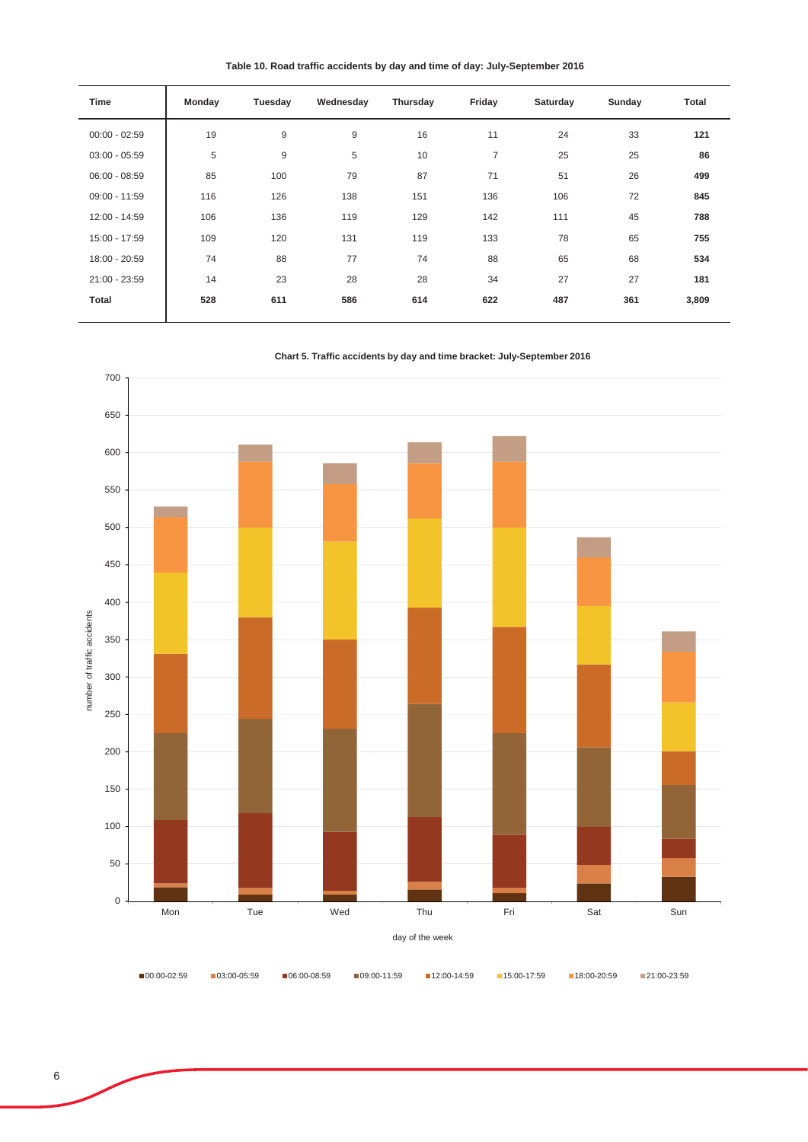**Table 10. Road traffic accidents by day and time of day: July-September 2016**

| Time            | Monday | Tuesday | Wednesday | Thursday | Friday         | Saturday | Sunday | Total |
|-----------------|--------|---------|-----------|----------|----------------|----------|--------|-------|
| $00:00 - 02:59$ | 19     | 9       | 9         | 16       | 11             | 24       | 33     | 121   |
| $03:00 - 05:59$ | 5      | 9       | 5         | 10       | $\overline{7}$ | 25       | 25     | 86    |
| $06:00 - 08:59$ | 85     | 100     | 79        | 87       | 71             | 51       | 26     | 499   |
| $09:00 - 11:59$ | 116    | 126     | 138       | 151      | 136            | 106      | 72     | 845   |
| 12:00 - 14:59   | 106    | 136     | 119       | 129      | 142            | 111      | 45     | 788   |
| 15:00 - 17:59   | 109    | 120     | 131       | 119      | 133            | 78       | 65     | 755   |
| 18:00 - 20:59   | 74     | 88      | 77        | 74       | 88             | 65       | 68     | 534   |
| 21:00 - 23:59   | 14     | 23      | 28        | 28       | 34             | 27       | 27     | 181   |
| <b>Total</b>    | 528    | 611     | 586       | 614      | 622            | 487      | 361    | 3,809 |
|                 |        |         |           |          |                |          |        |       |





00:00-02:59 ■03:00-05:59 ■06:00-08:59 ■09:00-11:59 ■12:00-14:59 ■15:00-17:59 ■18:00-20:59 ■21:00-23:59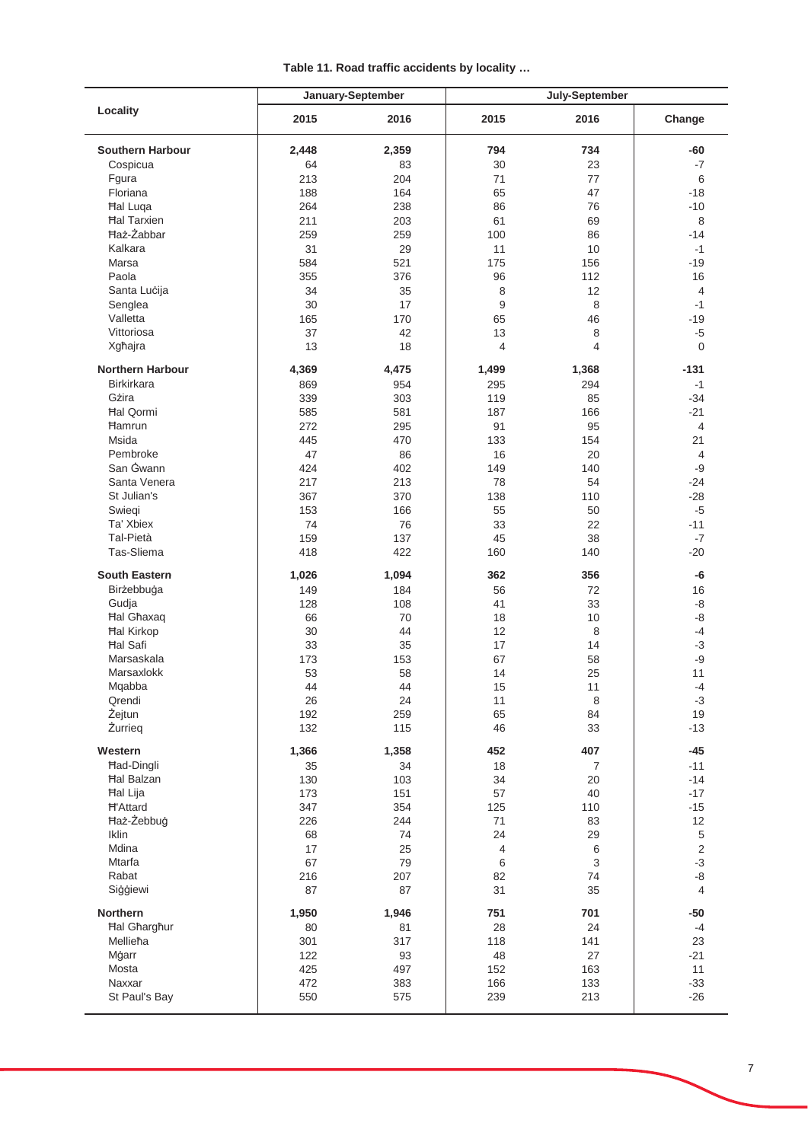|                         | January-September |       | July-September |                |                |
|-------------------------|-------------------|-------|----------------|----------------|----------------|
| Locality                | 2015              | 2016  | 2015           | 2016           | Change         |
| <b>Southern Harbour</b> | 2,448             | 2,359 | 794            | 734            | -60            |
| Cospicua                | 64                | 83    | 30             | 23             | -7             |
| Fgura                   | 213               | 204   | 71             | 77             | 6              |
| Floriana                | 188               | 164   | 65             | 47             |                |
|                         |                   |       |                |                | $-18$          |
| <b>Hal Luqa</b>         | 264               | 238   | 86             | 76             | $-10$          |
| <b>Hal Tarxien</b>      | 211               | 203   | 61             | 69             | 8              |
| <b>Haż-Żabbar</b>       | 259               | 259   | 100            | 86             | $-14$          |
| Kalkara                 | 31                | 29    | 11             | 10             | $-1$           |
| Marsa                   | 584               | 521   | 175            | 156            | $-19$          |
| Paola                   | 355               | 376   | 96             | 112            | 16             |
| Santa Lucija            | 34                | 35    | 8              | 12             | 4              |
| Senglea                 | 30                | 17    | 9              | 8              | $-1$           |
| Valletta                |                   |       |                |                |                |
|                         | 165               | 170   | 65             | 46             | $-19$          |
| Vittoriosa              | 37                | 42    | 13             | 8              | $-5$           |
| Xgħajra                 | 13                | 18    | 4              | 4              | $\Omega$       |
| <b>Northern Harbour</b> | 4,369             | 4,475 | 1,499          | 1,368          | $-131$         |
| <b>Birkirkara</b>       | 869               | 954   | 295            | 294            | $-1$           |
| Gżira                   | 339               | 303   | 119            | 85             | $-34$          |
| <b>Hal Qormi</b>        | 585               | 581   | 187            | 166            | $-21$          |
| <b>Hamrun</b>           | 272               | 295   | 91             | 95             | 4              |
| Msida                   | 445               | 470   | 133            | 154            | 21             |
| Pembroke                | 47                | 86    | 16             | 20             | 4              |
|                         |                   |       |                |                |                |
| San Gwann               | 424               | 402   | 149            | 140            | $-9$           |
| Santa Venera            | 217               | 213   | 78             | 54             | $-24$          |
| St Julian's             | 367               | 370   | 138            | 110            | $-28$          |
| Swiegi                  | 153               | 166   | 55             | 50             | $-5$           |
| Ta' Xbiex               | 74                | 76    | 33             | 22             | $-11$          |
| Tal-Pietà               | 159               | 137   | 45             | 38             | $-7$           |
| Tas-Sliema              | 418               | 422   | 160            | 140            | $-20$          |
| <b>South Eastern</b>    | 1,026             | 1,094 | 362            | 356            | -6             |
| Birżebbuġa              | 149               | 184   | 56             | 72             | 16             |
| Gudja                   | 128               | 108   | 41             | 33             | -8             |
| <b>Hal Ghaxaq</b>       | 66                | 70    | 18             | 10             | -8             |
| <b>Hal Kirkop</b>       | 30                | 44    | 12             | 8              | -4             |
| <b>Hal Safi</b>         |                   |       |                |                |                |
|                         | 33                | 35    | 17             | 14             | $-3$           |
| Marsaskala              | 173               | 153   | 67             | 58             | -9             |
| Marsaxlokk              | 53                | 58    | 14             | 25             | 11             |
| Mqabba                  | 44                | 44    | 15             | 11             | -4             |
| Qrendi                  | 26                | 24    | 11             | 8              | $-3$           |
| Żejtun                  | 192               | 259   | 65             | 84             | 19             |
| Żurrieg                 | 132               | 115   | 46             | 33             | $-13$          |
| Western                 | 1,366             | 1,358 | 452            | 407            | $-45$          |
| Had-Dingli              | 35                | 34    | 18             | $\overline{7}$ | $-11$          |
| <b>Hal Balzan</b>       | 130               | 103   | 34             | 20             | $-14$          |
| <b>Hal Lija</b>         | 173               | 151   | 57             | 40             | $-17$          |
| <b>H'Attard</b>         | 347               | 354   | 125            | 110            | $-15$          |
| Haż-Żebbuġ              |                   |       |                |                |                |
|                         | 226               | 244   | 71             | 83             | 12             |
| Iklin                   | 68                | 74    | 24             | 29             | $\,$ 5 $\,$    |
| Mdina                   | 17                | 25    | 4              | 6              | $\overline{2}$ |
| Mtarfa                  | 67                | 79    | $\,6\,$        | 3              | $-3$           |
| Rabat                   | 216               | 207   | 82             | 74             | -8             |
| Siģģiewi                | 87                | 87    | 31             | 35             | $\overline{4}$ |
| <b>Northern</b>         | 1,950             | 1,946 | 751            | 701            | $-50$          |
| <b>Hal Gharghur</b>     | 80                | 81    | 28             | 24             | $-4$           |
| Mellieħa                | 301               | 317   | 118            | 141            | 23             |
| Mġarr                   | 122               | 93    | 48             | 27             | $-21$          |
| Mosta                   | 425               | 497   | 152            | 163            | 11             |
| Naxxar                  | 472               | 383   | 166            |                | $-33$          |
|                         |                   |       |                | 133            |                |
| St Paul's Bay           | 550               | 575   | 239            | 213            | $-26$          |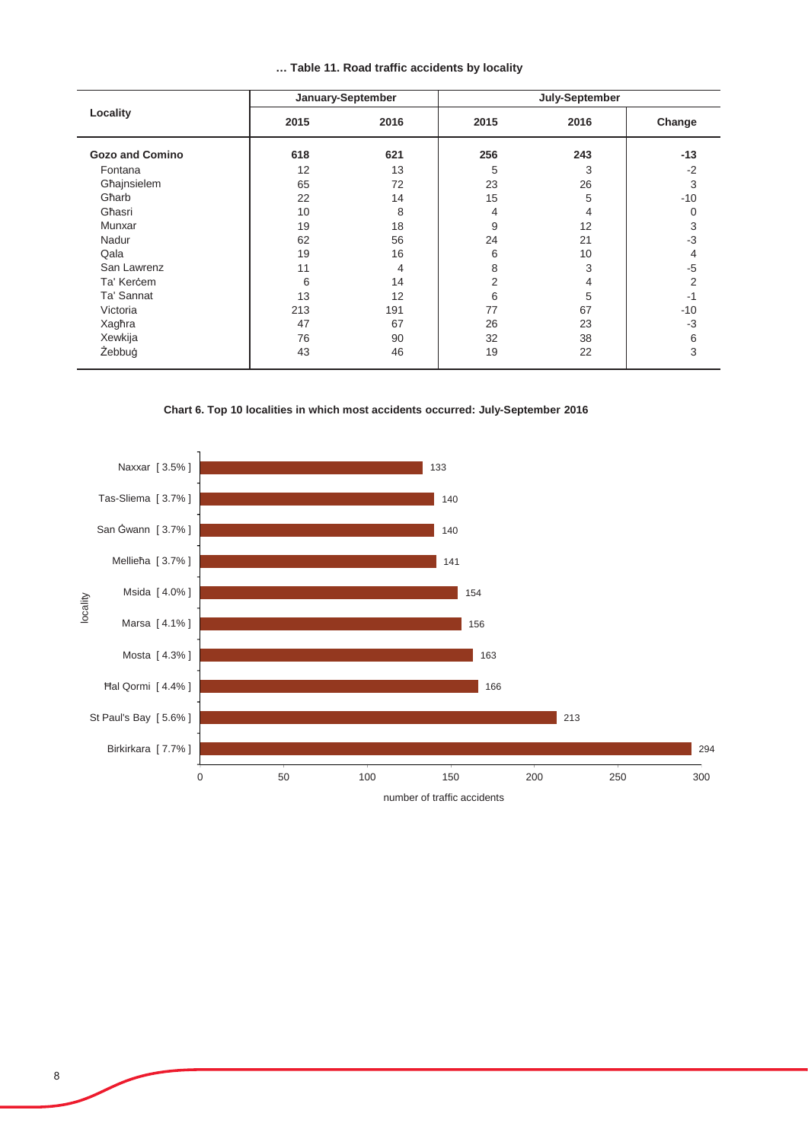|  |  |  |  |  | Table 11. Road traffic accidents by locality |  |  |
|--|--|--|--|--|----------------------------------------------|--|--|
|--|--|--|--|--|----------------------------------------------|--|--|

|                        | January-September |      | July-September |      |                |  |
|------------------------|-------------------|------|----------------|------|----------------|--|
| Locality               | 2015              | 2016 | 2015           | 2016 | Change         |  |
| <b>Gozo and Comino</b> | 618               | 621  | 256            | 243  | $-13$          |  |
| Fontana                | 12                | 13   | 5              | 3    | $-2$           |  |
| Għajnsielem            | 65                | 72   | 23             | 26   | 3              |  |
| Għarb                  | 22                | 14   | 15             | 5    | $-10$          |  |
| Għasri                 | 10                | 8    | 4              | 4    | $\Omega$       |  |
| Munxar                 | 19                | 18   | 9              | 12   | 3              |  |
| Nadur                  | 62                | 56   | 24             | 21   | $-3$           |  |
| Qala                   | 19                | 16   | 6              | 10   | 4              |  |
| San Lawrenz            | 11                | 4    | 8              | 3    | -5             |  |
| Ta' Kercem             | 6                 | 14   | 2              | 4    | $\overline{2}$ |  |
| Ta' Sannat             | 13                | 12   | 6              | 5    | $-1$           |  |
| Victoria               | 213               | 191  | 77             | 67   | $-10$          |  |
| Xagħra                 | 47                | 67   | 26             | 23   | $-3$           |  |
| Xewkija                | 76                | 90   | 32             | 38   | 6              |  |
| Żebbuġ                 | 43                | 46   | 19             | 22   | 3              |  |